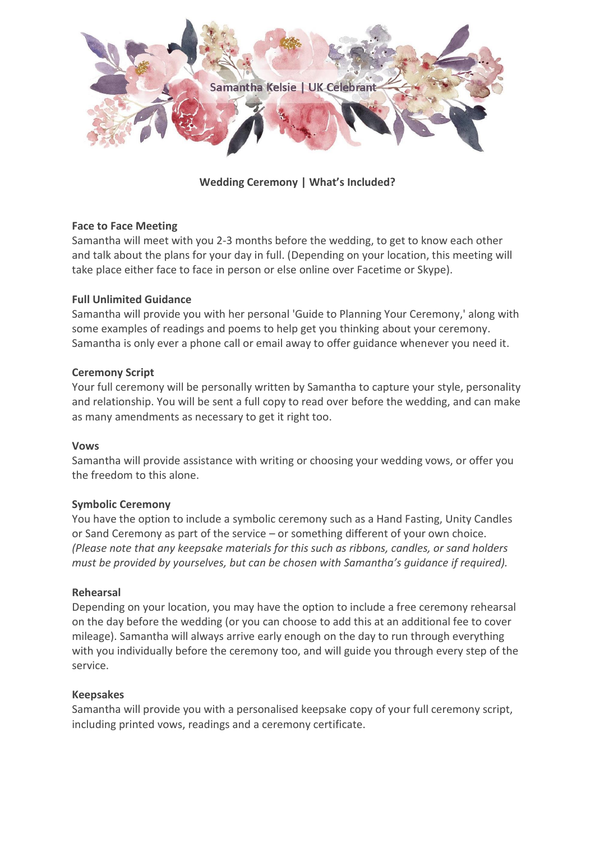

## **Wedding Ceremony | What's Included?**

### **Face to Face Meeting**

Samantha will meet with you 2-3 months before the wedding, to get to know each other and talk about the plans for your day in full. (Depending on your location, this meeting will take place either face to face in person or else online over Facetime or Skype).

#### **Full Unlimited Guidance**

Samantha will provide you with her personal 'Guide to Planning Your Ceremony,' along with some examples of readings and poems to help get you thinking about your ceremony. Samantha is only ever a phone call or email away to offer guidance whenever you need it.

#### **Ceremony Script**

Your full ceremony will be personally written by Samantha to capture your style, personality and relationship. You will be sent a full copy to read over before the wedding, and can make as many amendments as necessary to get it right too.

#### **Vows**

Samantha will provide assistance with writing or choosing your wedding vows, or offer you the freedom to this alone.

#### **Symbolic Ceremony**

You have the option to include a symbolic ceremony such as a Hand Fasting, Unity Candles or Sand Ceremony as part of the service – or something different of your own choice. *(Please note that any keepsake materials for this such as ribbons, candles, or sand holders must be provided by yourselves, but can be chosen with Samantha's guidance if required).*

#### **Rehearsal**

Depending on your location, you may have the option to include a free ceremony rehearsal on the day before the wedding (or you can choose to add this at an additional fee to cover mileage). Samantha will always arrive early enough on the day to run through everything with you individually before the ceremony too, and will guide you through every step of the service.

#### **Keepsakes**

Samantha will provide you with a personalised keepsake copy of your full ceremony script, including printed vows, readings and a ceremony certificate.